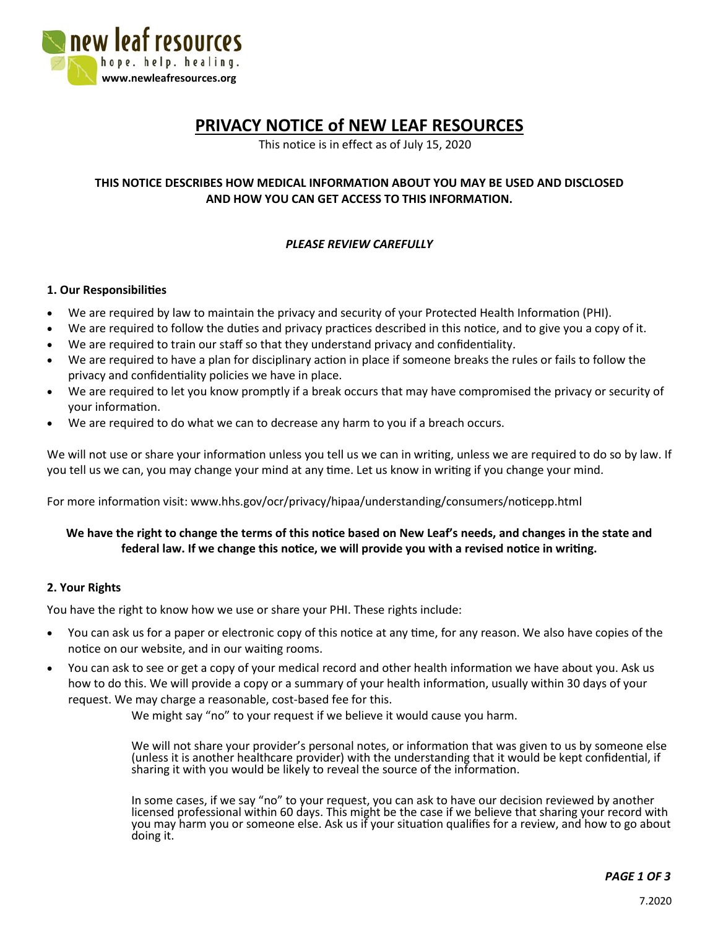

# **PRIVACY NOTICE of NEW LEAF RESOURCES**

This notice is in effect as of July 15, 2020

# **THIS NOTICE DESCRIBES HOW MEDICAL INFORMATION ABOUT YOU MAY BE USED AND DISCLOSED AND HOW YOU CAN GET ACCESS TO THIS INFORMATION.**

# *PLEASE REVIEW CAREFULLY*

#### **1. Our Responsibilities**

- We are required by law to maintain the privacy and security of your Protected Health Information (PHI).
- We are required to follow the duties and privacy practices described in this notice, and to give you a copy of it.
- We are required to train our staff so that they understand privacy and confidentiality.
- We are required to have a plan for disciplinary action in place if someone breaks the rules or fails to follow the privacy and confidentiality policies we have in place.
- We are required to let you know promptly if a break occurs that may have compromised the privacy or security of your information.
- We are required to do what we can to decrease any harm to you if a breach occurs.

We will not use or share your information unless you tell us we can in writing, unless we are required to do so by law. If you tell us we can, you may change your mind at any time. Let us know in writing if you change your mind.

For more information visit: www.hhs.gov/ocr/privacy/hipaa/understanding/consumers/noticepp.html

### **We have the right to change the terms of this notice based on New Leaf's needs, and changes in the state and federal law. If we change this notice, we will provide you with a revised notice in writing.**

#### **2. Your Rights**

You have the right to know how we use or share your PHI. These rights include:

- You can ask us for a paper or electronic copy of this notice at any time, for any reason. We also have copies of the notice on our website, and in our waiting rooms.
- You can ask to see or get a copy of your medical record and other health information we have about you. Ask us how to do this. We will provide a copy or a summary of your health information, usually within 30 days of your request. We may charge a reasonable, cost-based fee for this.

We might say "no" to your request if we believe it would cause you harm.

We will not share your provider's personal notes, or information that was given to us by someone else (unless it is another healthcare provider) with the understanding that it would be kept confidential, if sharing it with you would be likely to reveal the source of the information.

In some cases, if we say "no" to your request, you can ask to have our decision reviewed by another licensed professional within 60 days. This might be the case if we believe that sharing your record with you may harm you or someone else. Ask us if your situation qualifies for a review, and how to go about doing it.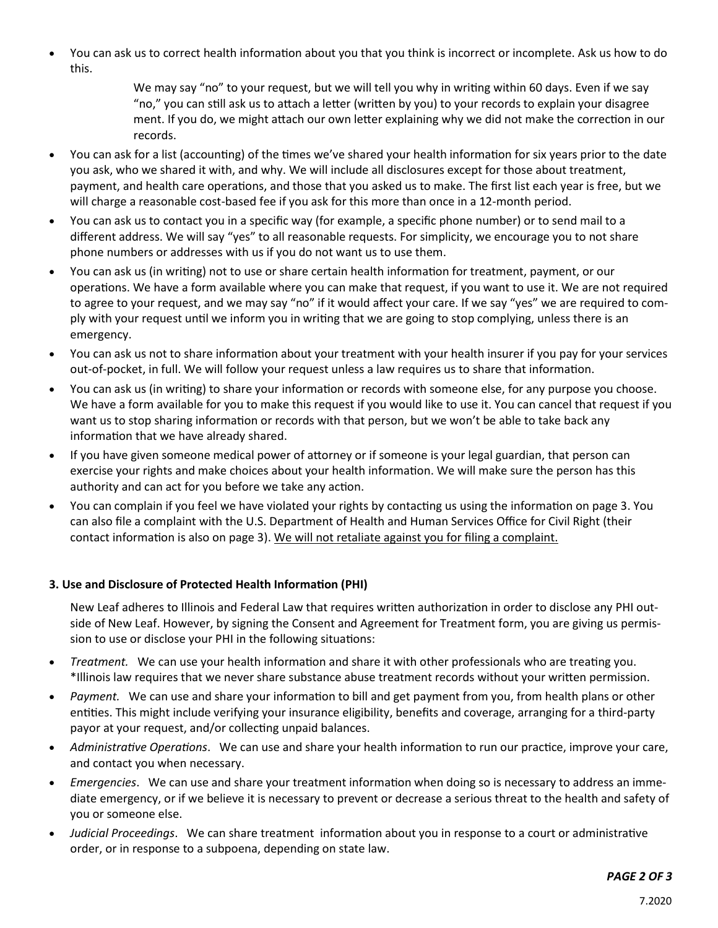You can ask us to correct health information about you that you think is incorrect or incomplete. Ask us how to do this.

> We may say "no" to your request, but we will tell you why in writing within 60 days. Even if we say "no," you can still ask us to attach a letter (written by you) to your records to explain your disagree ment. If you do, we might attach our own letter explaining why we did not make the correction in our records.

- You can ask for a list (accounting) of the times we've shared your health information for six years prior to the date you ask, who we shared it with, and why. We will include all disclosures except for those about treatment, payment, and health care operations, and those that you asked us to make. The first list each year is free, but we will charge a reasonable cost-based fee if you ask for this more than once in a 12-month period.
- You can ask us to contact you in a specific way (for example, a specific phone number) or to send mail to a different address. We will say "yes" to all reasonable requests. For simplicity, we encourage you to not share phone numbers or addresses with us if you do not want us to use them.
- You can ask us (in writing) not to use or share certain health information for treatment, payment, or our operations. We have a form available where you can make that request, if you want to use it. We are not required to agree to your request, and we may say "no" if it would affect your care. If we say "yes" we are required to comply with your request until we inform you in writing that we are going to stop complying, unless there is an emergency.
- You can ask us not to share information about your treatment with your health insurer if you pay for your services out-of-pocket, in full. We will follow your request unless a law requires us to share that information.
- You can ask us (in writing) to share your information or records with someone else, for any purpose you choose. We have a form available for you to make this request if you would like to use it. You can cancel that request if you want us to stop sharing information or records with that person, but we won't be able to take back any information that we have already shared.
- If you have given someone medical power of attorney or if someone is your legal guardian, that person can exercise your rights and make choices about your health information. We will make sure the person has this authority and can act for you before we take any action.
- You can complain if you feel we have violated your rights by contacting us using the information on page 3. You can also file a complaint with the U.S. Department of Health and Human Services Office for Civil Right (their contact information is also on page 3). We will not retaliate against you for filing a complaint.

# **3. Use and Disclosure of Protected Health Information (PHI)**

New Leaf adheres to Illinois and Federal Law that requires written authorization in order to disclose any PHI outside of New Leaf. However, by signing the Consent and Agreement for Treatment form, you are giving us permission to use or disclose your PHI in the following situations:

- *Treatment.* We can use your health information and share it with other professionals who are treating you. \*Illinois law requires that we never share substance abuse treatment records without your written permission.
- *Payment.* We can use and share your information to bill and get payment from you, from health plans or other entities. This might include verifying your insurance eligibility, benefits and coverage, arranging for a third-party payor at your request, and/or collecting unpaid balances.
- *Administrative Operations*. We can use and share your health information to run our practice, improve your care, and contact you when necessary.
- *Emergencies*. We can use and share your treatment information when doing so is necessary to address an immediate emergency, or if we believe it is necessary to prevent or decrease a serious threat to the health and safety of you or someone else.
- *Judicial Proceedings*. We can share treatment information about you in response to a court or administrative order, or in response to a subpoena, depending on state law.